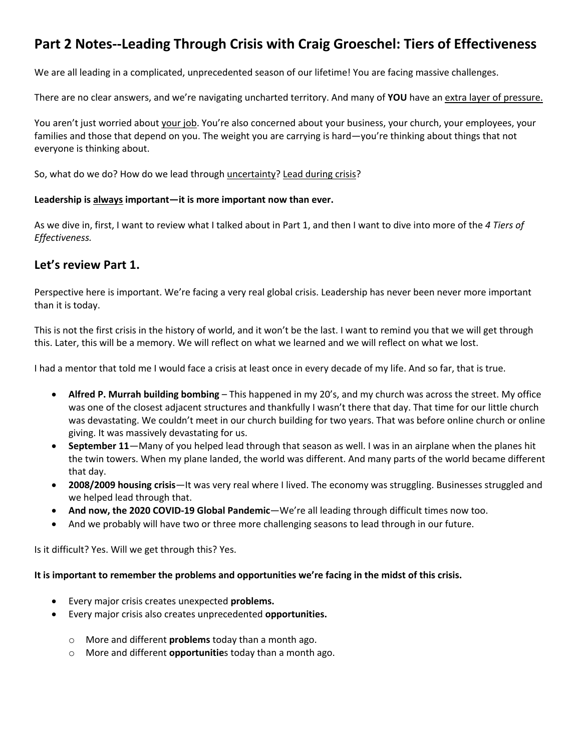## **Part 2 Notes--Leading Through Crisis with Craig Groeschel: Tiers of Effectiveness**

We are all leading in a complicated, unprecedented season of our lifetime! You are facing massive challenges.

There are no clear answers, and we're navigating uncharted territory. And many of **YOU** have an extra layer of pressure.

You aren't just worried about your job. You're also concerned about your business, your church, your employees, your families and those that depend on you. The weight you are carrying is hard—you're thinking about things that not everyone is thinking about.

So, what do we do? How do we lead through uncertainty? Lead during crisis?

### **Leadership is always important—it is more important now than ever.**

As we dive in, first, I want to review what I talked about in Part 1, and then I want to dive into more of the *4 Tiers of Effectiveness.*

### **Let's review Part 1.**

Perspective here is important. We're facing a very real global crisis. Leadership has never been never more important than it is today.

This is not the first crisis in the history of world, and it won't be the last. I want to remind you that we will get through this. Later, this will be a memory. We will reflect on what we learned and we will reflect on what we lost.

I had a mentor that told me I would face a crisis at least once in every decade of my life. And so far, that is true.

- **Alfred P. Murrah building bombing** This happened in my 20's, and my church was across the street. My office was one of the closest adjacent structures and thankfully I wasn't there that day. That time for our little church was devastating. We couldn't meet in our church building for two years. That was before online church or online giving. It was massively devastating for us.
- **September 11**—Many of you helped lead through that season as well. I was in an airplane when the planes hit the twin towers. When my plane landed, the world was different. And many parts of the world became different that day.
- **2008/2009 housing crisis**—It was very real where I lived. The economy was struggling. Businesses struggled and we helped lead through that.
- **And now, the 2020 COVID-19 Global Pandemic**—We're all leading through difficult times now too.
- And we probably will have two or three more challenging seasons to lead through in our future.

Is it difficult? Yes. Will we get through this? Yes.

### **It is important to remember the problems and opportunities we're facing in the midst of this crisis.**

- Every major crisis creates unexpected **problems.**
- Every major crisis also creates unprecedented **opportunities.**
	- o More and different **problems** today than a month ago.
	- o More and different **opportunitie**s today than a month ago.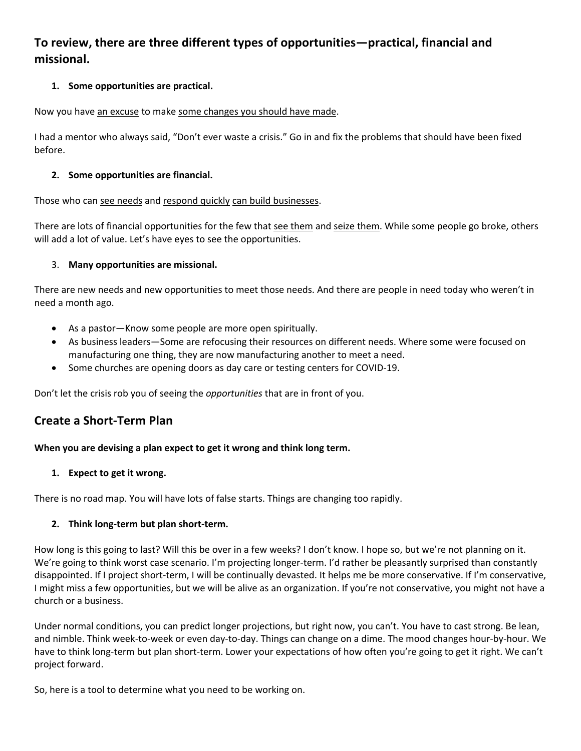## **To review, there are three different types of opportunities—practical, financial and missional.**

### **1. Some opportunities are practical.**

Now you have an excuse to make some changes you should have made.

I had a mentor who always said, "Don't ever waste a crisis." Go in and fix the problems that should have been fixed before.

### **2. Some opportunities are financial.**

Those who can see needs and respond quickly can build businesses.

There are lots of financial opportunities for the few that see them and seize them. While some people go broke, others will add a lot of value. Let's have eyes to see the opportunities.

### 3. **Many opportunities are missional.**

There are new needs and new opportunities to meet those needs. And there are people in need today who weren't in need a month ago.

- As a pastor—Know some people are more open spiritually.
- As business leaders—Some are refocusing their resources on different needs. Where some were focused on manufacturing one thing, they are now manufacturing another to meet a need.
- Some churches are opening doors as day care or testing centers for COVID-19.

Don't let the crisis rob you of seeing the *opportunities* that are in front of you.

## **Create a Short-Term Plan**

### **When you are devising a plan expect to get it wrong and think long term.**

### **1. Expect to get it wrong.**

There is no road map. You will have lots of false starts. Things are changing too rapidly.

### **2. Think long-term but plan short-term.**

How long is this going to last? Will this be over in a few weeks? I don't know. I hope so, but we're not planning on it. We're going to think worst case scenario. I'm projecting longer-term. I'd rather be pleasantly surprised than constantly disappointed. If I project short-term, I will be continually devasted. It helps me be more conservative. If I'm conservative, I might miss a few opportunities, but we will be alive as an organization. If you're not conservative, you might not have a church or a business.

Under normal conditions, you can predict longer projections, but right now, you can't. You have to cast strong. Be lean, and nimble. Think week-to-week or even day-to-day. Things can change on a dime. The mood changes hour-by-hour. We have to think long-term but plan short-term. Lower your expectations of how often you're going to get it right. We can't project forward.

So, here is a tool to determine what you need to be working on.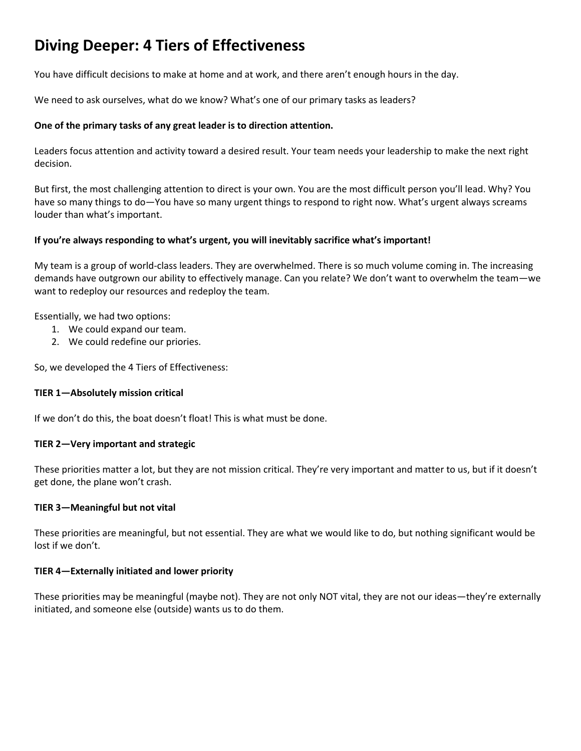# **Diving Deeper: 4 Tiers of Effectiveness**

You have difficult decisions to make at home and at work, and there aren't enough hours in the day.

We need to ask ourselves, what do we know? What's one of our primary tasks as leaders?

### **One of the primary tasks of any great leader is to direction attention.**

Leaders focus attention and activity toward a desired result. Your team needs your leadership to make the next right decision.

But first, the most challenging attention to direct is your own. You are the most difficult person you'll lead. Why? You have so many things to do—You have so many urgent things to respond to right now. What's urgent always screams louder than what's important.

### **If you're always responding to what's urgent, you will inevitably sacrifice what's important!**

My team is a group of world-class leaders. They are overwhelmed. There is so much volume coming in. The increasing demands have outgrown our ability to effectively manage. Can you relate? We don't want to overwhelm the team—we want to redeploy our resources and redeploy the team.

Essentially, we had two options:

- 1. We could expand our team.
- 2. We could redefine our priories.

So, we developed the 4 Tiers of Effectiveness:

### **TIER 1—Absolutely mission critical**

If we don't do this, the boat doesn't float! This is what must be done.

### **TIER 2—Very important and strategic**

These priorities matter a lot, but they are not mission critical. They're very important and matter to us, but if it doesn't get done, the plane won't crash.

### **TIER 3—Meaningful but not vital**

These priorities are meaningful, but not essential. They are what we would like to do, but nothing significant would be lost if we don't.

### **TIER 4—Externally initiated and lower priority**

These priorities may be meaningful (maybe not). They are not only NOT vital, they are not our ideas—they're externally initiated, and someone else (outside) wants us to do them.